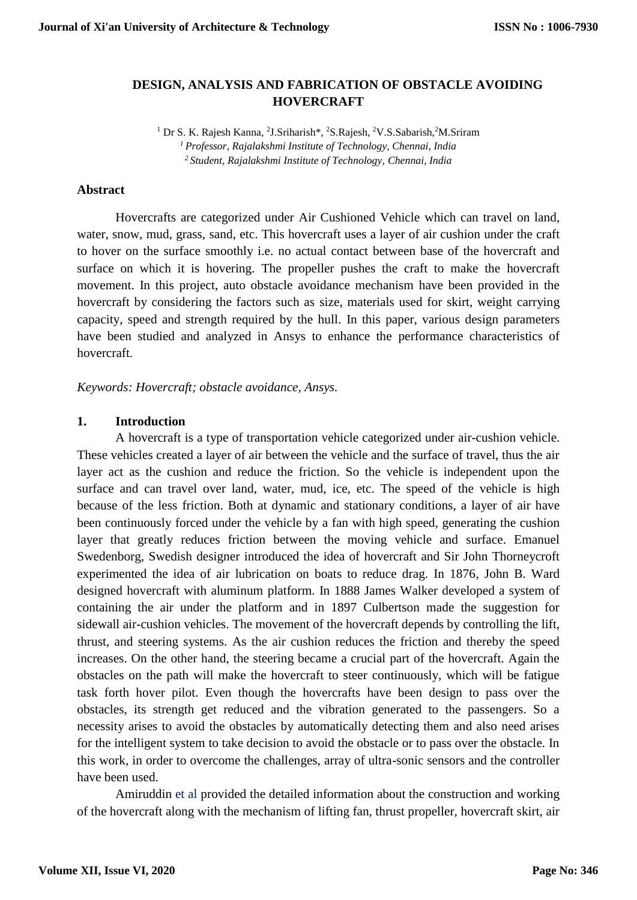## **DESIGN, ANALYSIS AND FABRICATION OF OBSTACLE AVOIDING HOVERCRAFT**

<sup>1</sup> Dr S. K. Rajesh Kanna, <sup>2</sup>J.Sriharish\*, <sup>2</sup>S.Rajesh, <sup>2</sup>V.S.Sabarish, <sup>2</sup>M.Sriram *<sup>1</sup>Professor, Rajalakshmi Institute of Technology, Chennai, India <sup>2</sup>Student, Rajalakshmi Institute of Technology, Chennai, India*

#### **Abstract**

Hovercrafts are categorized under Air Cushioned Vehicle which can travel on land, water, snow, mud, grass, sand, etc. This hovercraft uses a layer of air cushion under the craft to hover on the surface smoothly i.e. no actual contact between base of the hovercraft and surface on which it is hovering. The propeller pushes the craft to make the hovercraft movement. In this project, auto obstacle avoidance mechanism have been provided in the hovercraft by considering the factors such as size, materials used for skirt, weight carrying capacity, speed and strength required by the hull. In this paper, various design parameters have been studied and analyzed in Ansys to enhance the performance characteristics of hovercraft.

*Keywords: Hovercraft; obstacle avoidance, Ansys.*

#### **1. Introduction**

A hovercraft is a type of transportation vehicle categorized under air-cushion vehicle. These vehicles created a layer of air between the vehicle and the surface of travel, thus the air layer act as the cushion and reduce the friction. So the vehicle is independent upon the surface and can travel over land, water, mud, ice, etc. The speed of the vehicle is high because of the less friction. Both at dynamic and stationary conditions, a layer of air have been continuously forced under the vehicle by a fan with high speed, generating the cushion layer that greatly reduces friction between the moving vehicle and surface. Emanuel Swedenborg, Swedish designer introduced the idea of hovercraft and Sir John Thorneycroft experimented the idea of air lubrication on boats to reduce drag. In 1876, John B. Ward designed hovercraft with aluminum platform. In 1888 James Walker developed a system of containing the air under the platform and in 1897 Culbertson made the suggestion for sidewall air-cushion vehicles. The movement of the hovercraft depends by controlling the lift, thrust, and steering systems. As the air cushion reduces the friction and thereby the speed increases. On the other hand, the steering became a crucial part of the hovercraft. Again the obstacles on the path will make the hovercraft to steer continuously, which will be fatigue task forth hover pilot. Even though the hovercrafts have been design to pass over the obstacles, its strength get reduced and the vibration generated to the passengers. So a necessity arises to avoid the obstacles by automatically detecting them and also need arises for the intelligent system to take decision to avoid the obstacle or to pass over the obstacle. In this work, in order to overcome the challenges, array of ultra-sonic sensors and the controller have been used.

Amiruddin et al provided the detailed information about the construction and working of the hovercraft along with the mechanism of lifting fan, thrust propeller, hovercraft skirt, air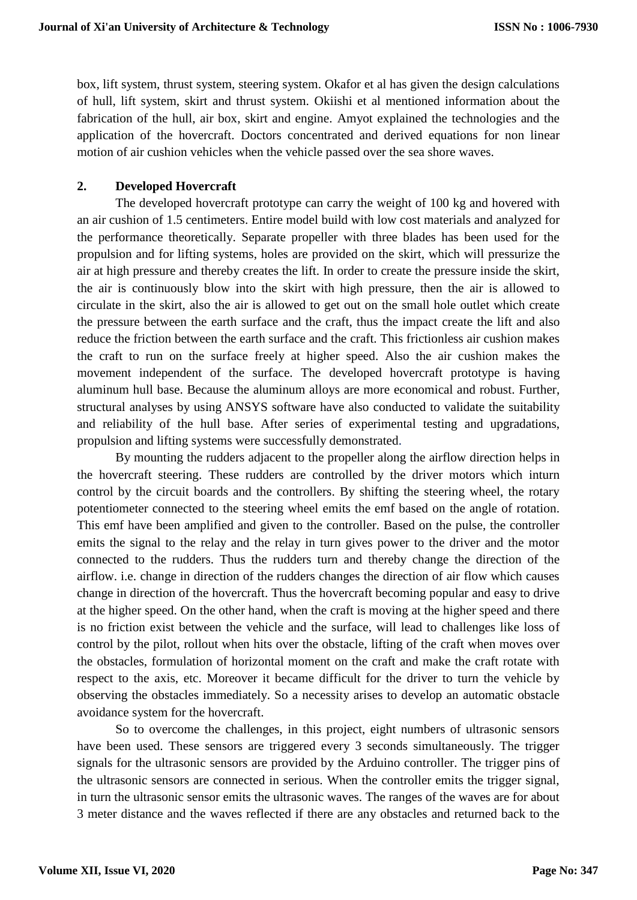box, lift system, thrust system, steering system. Okafor et al has given the design calculations of hull, lift system, skirt and thrust system. Okiishi et al mentioned information about the fabrication of the hull, air box, skirt and engine. Amyot explained the technologies and the application of the hovercraft. Doctors concentrated and derived equations for non linear motion of air cushion vehicles when the vehicle passed over the sea shore waves.

# **2. Developed Hovercraft**

The developed hovercraft prototype can carry the weight of 100 kg and hovered with an air cushion of 1.5 centimeters. Entire model build with low cost materials and analyzed for the performance theoretically. Separate propeller with three blades has been used for the propulsion and for lifting systems, holes are provided on the skirt, which will pressurize the air at high pressure and thereby creates the lift. In order to create the pressure inside the skirt, the air is continuously blow into the skirt with high pressure, then the air is allowed to circulate in the skirt, also the air is allowed to get out on the small hole outlet which create the pressure between the earth surface and the craft, thus the impact create the lift and also reduce the friction between the earth surface and the craft. This frictionless air cushion makes the craft to run on the surface freely at higher speed. Also the air cushion makes the movement independent of the surface. The developed hovercraft prototype is having aluminum hull base. Because the aluminum alloys are more economical and robust. Further, structural analyses by using ANSYS software have also conducted to validate the suitability and reliability of the hull base. After series of experimental testing and upgradations, propulsion and lifting systems were successfully demonstrated.

By mounting the rudders adjacent to the propeller along the airflow direction helps in the hovercraft steering. These rudders are controlled by the driver motors which inturn control by the circuit boards and the controllers. By shifting the steering wheel, the rotary potentiometer connected to the steering wheel emits the emf based on the angle of rotation. This emf have been amplified and given to the controller. Based on the pulse, the controller emits the signal to the relay and the relay in turn gives power to the driver and the motor connected to the rudders. Thus the rudders turn and thereby change the direction of the airflow. i.e. change in direction of the rudders changes the direction of air flow which causes change in direction of the hovercraft. Thus the hovercraft becoming popular and easy to drive at the higher speed. On the other hand, when the craft is moving at the higher speed and there is no friction exist between the vehicle and the surface, will lead to challenges like loss of control by the pilot, rollout when hits over the obstacle, lifting of the craft when moves over the obstacles, formulation of horizontal moment on the craft and make the craft rotate with respect to the axis, etc. Moreover it became difficult for the driver to turn the vehicle by observing the obstacles immediately. So a necessity arises to develop an automatic obstacle avoidance system for the hovercraft.

So to overcome the challenges, in this project, eight numbers of ultrasonic sensors have been used. These sensors are triggered every 3 seconds simultaneously. The trigger signals for the ultrasonic sensors are provided by the Arduino controller. The trigger pins of the ultrasonic sensors are connected in serious. When the controller emits the trigger signal, in turn the ultrasonic sensor emits the ultrasonic waves. The ranges of the waves are for about 3 meter distance and the waves reflected if there are any obstacles and returned back to the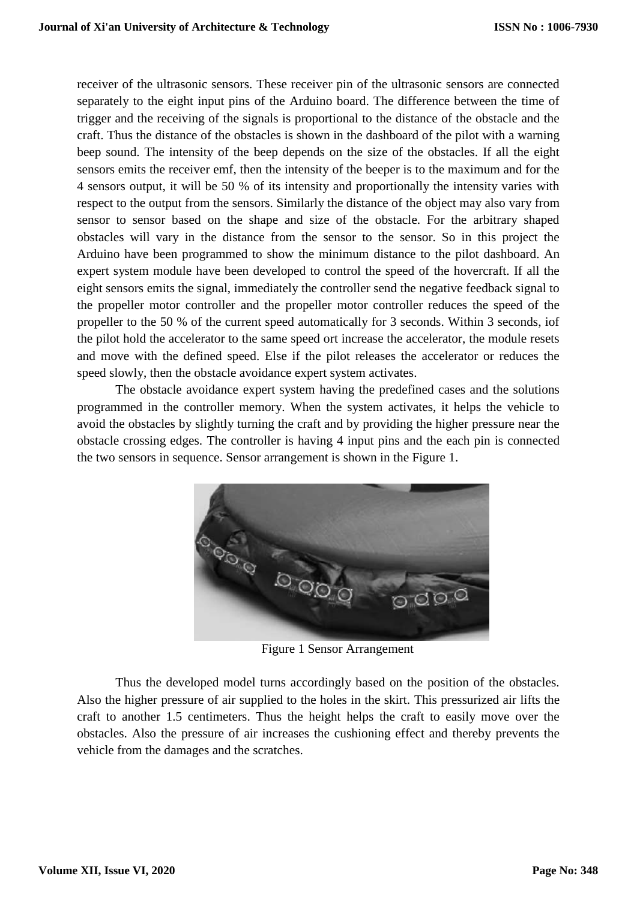receiver of the ultrasonic sensors. These receiver pin of the ultrasonic sensors are connected separately to the eight input pins of the Arduino board. The difference between the time of trigger and the receiving of the signals is proportional to the distance of the obstacle and the craft. Thus the distance of the obstacles is shown in the dashboard of the pilot with a warning beep sound. The intensity of the beep depends on the size of the obstacles. If all the eight sensors emits the receiver emf, then the intensity of the beeper is to the maximum and for the 4 sensors output, it will be 50 % of its intensity and proportionally the intensity varies with respect to the output from the sensors. Similarly the distance of the object may also vary from sensor to sensor based on the shape and size of the obstacle. For the arbitrary shaped obstacles will vary in the distance from the sensor to the sensor. So in this project the Arduino have been programmed to show the minimum distance to the pilot dashboard. An expert system module have been developed to control the speed of the hovercraft. If all the eight sensors emits the signal, immediately the controller send the negative feedback signal to the propeller motor controller and the propeller motor controller reduces the speed of the propeller to the 50 % of the current speed automatically for 3 seconds. Within 3 seconds, iof the pilot hold the accelerator to the same speed ort increase the accelerator, the module resets and move with the defined speed. Else if the pilot releases the accelerator or reduces the speed slowly, then the obstacle avoidance expert system activates.

The obstacle avoidance expert system having the predefined cases and the solutions programmed in the controller memory. When the system activates, it helps the vehicle to avoid the obstacles by slightly turning the craft and by providing the higher pressure near the obstacle crossing edges. The controller is having 4 input pins and the each pin is connected the two sensors in sequence. Sensor arrangement is shown in the Figure 1.



Figure 1 Sensor Arrangement

Thus the developed model turns accordingly based on the position of the obstacles. Also the higher pressure of air supplied to the holes in the skirt. This pressurized air lifts the craft to another 1.5 centimeters. Thus the height helps the craft to easily move over the obstacles. Also the pressure of air increases the cushioning effect and thereby prevents the vehicle from the damages and the scratches.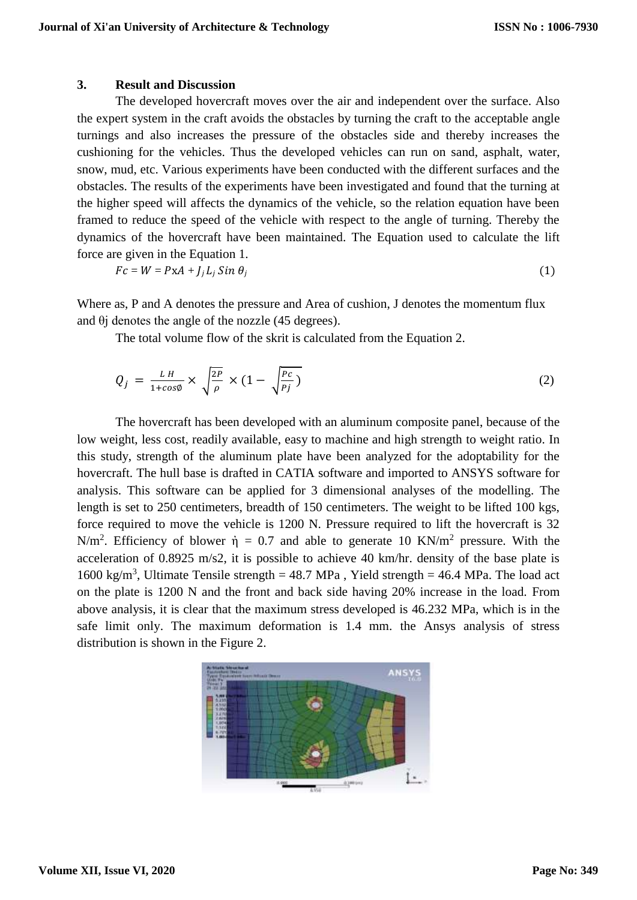### **3. Result and Discussion**

The developed hovercraft moves over the air and independent over the surface. Also the expert system in the craft avoids the obstacles by turning the craft to the acceptable angle turnings and also increases the pressure of the obstacles side and thereby increases the cushioning for the vehicles. Thus the developed vehicles can run on sand, asphalt, water, snow, mud, etc. Various experiments have been conducted with the different surfaces and the obstacles. The results of the experiments have been investigated and found that the turning at the higher speed will affects the dynamics of the vehicle, so the relation equation have been framed to reduce the speed of the vehicle with respect to the angle of turning. Thereby the dynamics of the hovercraft have been maintained. The Equation used to calculate the lift force are given in the Equation 1.

$$
Fc = W = PxA + J_jL_j\,Sin\,\theta_j\tag{1}
$$

Where as, P and A denotes the pressure and Area of cushion, J denotes the momentum flux and  $\theta$ *j* denotes the angle of the nozzle (45 degrees).

The total volume flow of the skrit is calculated from the Equation 2.

$$
Q_j = \frac{LH}{1 + \cos\phi} \times \sqrt{\frac{2P}{\rho}} \times (1 - \sqrt{\frac{Pc}{Pj}})
$$
 (2)

The hovercraft has been developed with an aluminum composite panel, because of the low weight, less cost, readily available, easy to machine and high strength to weight ratio. In this study, strength of the aluminum plate have been analyzed for the adoptability for the hovercraft. The hull base is drafted in CATIA software and imported to ANSYS software for analysis. This software can be applied for 3 dimensional analyses of the modelling. The length is set to 250 centimeters, breadth of 150 centimeters. The weight to be lifted 100 kgs, force required to move the vehicle is 1200 N. Pressure required to lift the hovercraft is 32 N/m<sup>2</sup>. Efficiency of blower  $\dot{\eta} = 0.7$  and able to generate 10 KN/m<sup>2</sup> pressure. With the acceleration of 0.8925 m/s2, it is possible to achieve 40 km/hr. density of the base plate is 1600 kg/m<sup>3</sup>, Ultimate Tensile strength = 48.7 MPa, Yield strength = 46.4 MPa. The load act on the plate is 1200 N and the front and back side having 20% increase in the load. From above analysis, it is clear that the maximum stress developed is 46.232 MPa, which is in the safe limit only. The maximum deformation is 1.4 mm. the Ansys analysis of stress distribution is shown in the Figure 2.